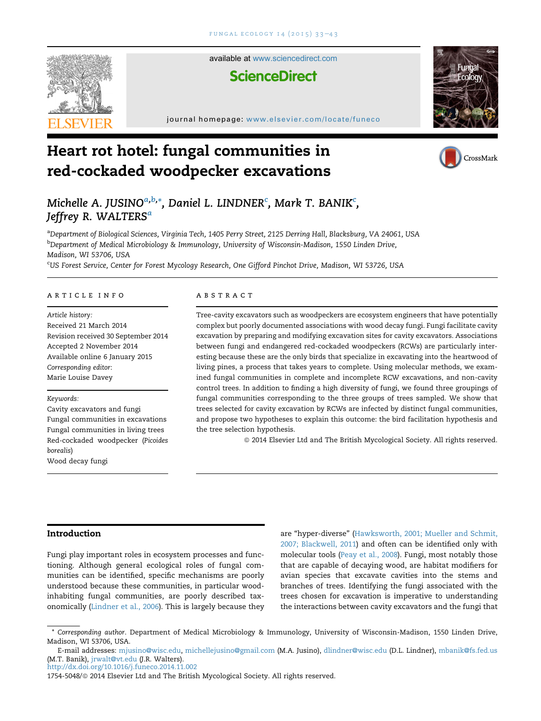

available at [www.sciencedirect.com](www.sciencedirect.com/science/journal/17545048)

# **ScienceDirect**

journal homepage: [www.elsevier.com/locate/funeco](http://www.elsevier.com/locate/funeco)

# Heart rot hotel: fungal communities in red-cockaded woodpecker excavations





# Michelle A. JUSINO $^{a,b,\ast},$  Daniel L. LINDNER $^c$ , Mark T. BANIK $^c$ , Jeffrey R. WALTERS<sup>a</sup>

<sup>a</sup>Department of Biological Sciences, Virginia Tech, 1405 Perry Street, 2125 Derring Hall, Blacksburg, VA 24061, USA <sup>b</sup>Department of Medical Microbiology & Immunology, University of Wisconsin-Madison, 1550 Linden Drive, Madison, WI 53706, USA

<sup>c</sup>US Forest Service, Center for Forest Mycology Research, One Gifford Pinchot Drive, Madison, WI 53726, USA

# article info

Article history: Received 21 March 2014 Revision received 30 September 2014 Accepted 2 November 2014 Available online 6 January 2015 Corresponding editor: Marie Louise Davey

# Keywords:

Cavity excavators and fungi Fungal communities in excavations Fungal communities in living trees Red-cockaded woodpecker (Picoides borealis) Wood decay fungi

# **ABSTRACT**

Tree-cavity excavators such as woodpeckers are ecosystem engineers that have potentially complex but poorly documented associations with wood decay fungi. Fungi facilitate cavity excavation by preparing and modifying excavation sites for cavity excavators. Associations between fungi and endangered red-cockaded woodpeckers (RCWs) are particularly interesting because these are the only birds that specialize in excavating into the heartwood of living pines, a process that takes years to complete. Using molecular methods, we examined fungal communities in complete and incomplete RCW excavations, and non-cavity control trees. In addition to finding a high diversity of fungi, we found three groupings of fungal communities corresponding to the three groups of trees sampled. We show that trees selected for cavity excavation by RCWs are infected by distinct fungal communities, and propose two hypotheses to explain this outcome: the bird facilitation hypothesis and the tree selection hypothesis.

ª 2014 Elsevier Ltd and The British Mycological Society. All rights reserved.

# Introduction

Fungi play important roles in ecosystem processes and functioning. Although general ecological roles of fungal communities can be identified, specific mechanisms are poorly understood because these communities, in particular woodinhabiting fungal communities, are poorly described taxonomically [\(Lindner et al., 2006\)](#page-10-0). This is largely because they

are "hyper-diverse" ([Hawksworth, 2001; Mueller and Schmit,](#page-9-0) [2007; Blackwell, 2011](#page-9-0)) and often can be identified only with molecular tools [\(Peay et al., 2008\)](#page-10-0). Fungi, most notably those that are capable of decaying wood, are habitat modifiers for avian species that excavate cavities into the stems and branches of trees. Identifying the fungi associated with the trees chosen for excavation is imperative to understanding the interactions between cavity excavators and the fungi that

<http://dx.doi.org/10.1016/j.funeco.2014.11.002>

<sup>\*</sup> Corresponding author. Department of Medical Microbiology & Immunology, University of Wisconsin-Madison, 1550 Linden Drive, Madison, WI 53706, USA.

E-mail addresses: [mjusino@wisc.edu](mailto:mjusino@wisc.edu), [michellejusino@gmail.com](mailto:michellejusino@gmail.com) (M.A. Jusino), [dlindner@wisc.edu](mailto:dlindner@wisc.edu) (D.L. Lindner), [mbanik@fs.fed.us](mailto:mbanik@fs.fed.us) (M.T. Banik), [jrwalt@vt.edu](mailto:jrwalt@vt.edu) (J.R. Walters).

<sup>1754-5048/@ 2014</sup> Elsevier Ltd and The British Mycological Society. All rights reserved.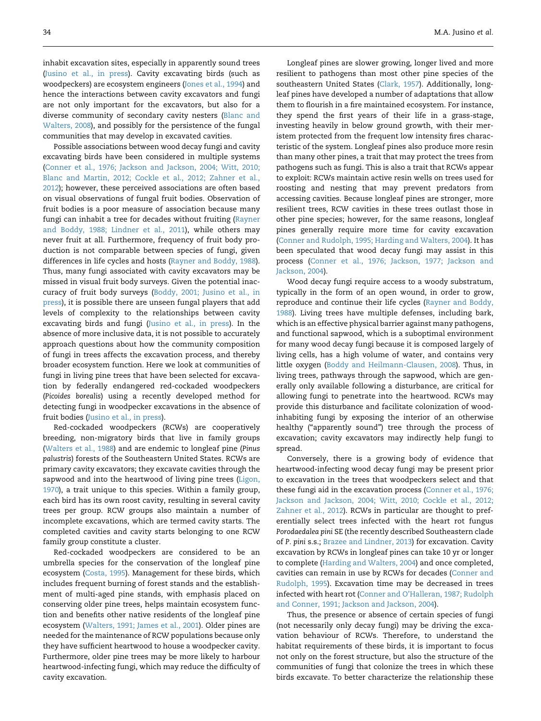inhabit excavation sites, especially in apparently sound trees ([Jusino et al., in press](#page-10-0)). Cavity excavating birds (such as woodpeckers) are ecosystem engineers [\(Jones et al., 1994\)](#page-10-0) and hence the interactions between cavity excavators and fungi are not only important for the excavators, but also for a diverse community of secondary cavity nesters [\(Blanc and](#page-9-0) [Walters, 2008](#page-9-0)), and possibly for the persistence of the fungal communities that may develop in excavated cavities.

Possible associations between wood decay fungi and cavity excavating birds have been considered in multiple systems ([Conner et al., 1976; Jackson and Jackson, 2004; Witt, 2010;](#page-9-0) [Blanc and Martin, 2012; Cockle et al., 2012; Zahner et al.,](#page-9-0) [2012\)](#page-9-0); however, these perceived associations are often based on visual observations of fungal fruit bodies. Observation of fruit bodies is a poor measure of association because many fungi can inhabit a tree for decades without fruiting [\(Rayner](#page-10-0) [and Boddy, 1988; Lindner et al., 2011\)](#page-10-0), while others may never fruit at all. Furthermore, frequency of fruit body production is not comparable between species of fungi, given differences in life cycles and hosts ([Rayner and Boddy, 1988\)](#page-10-0). Thus, many fungi associated with cavity excavators may be missed in visual fruit body surveys. Given the potential inaccuracy of fruit body surveys [\(Boddy, 2001; Jusino et al., in](#page-9-0) [press\)](#page-9-0), it is possible there are unseen fungal players that add levels of complexity to the relationships between cavity excavating birds and fungi ([Jusino et al., in press](#page-10-0)). In the absence of more inclusive data, it is not possible to accurately approach questions about how the community composition of fungi in trees affects the excavation process, and thereby broader ecosystem function. Here we look at communities of fungi in living pine trees that have been selected for excavation by federally endangered red-cockaded woodpeckers (Picoides borealis) using a recently developed method for detecting fungi in woodpecker excavations in the absence of fruit bodies ([Jusino et al., in press\)](#page-10-0).

Red-cockaded woodpeckers (RCWs) are cooperatively breeding, non-migratory birds that live in family groups ([Walters et al., 1988](#page-10-0)) and are endemic to longleaf pine (Pinus palustris) forests of the Southeastern United States. RCWs are primary cavity excavators; they excavate cavities through the sapwood and into the heartwood of living pine trees ([Ligon,](#page-10-0) [1970\)](#page-10-0), a trait unique to this species. Within a family group, each bird has its own roost cavity, resulting in several cavity trees per group. RCW groups also maintain a number of incomplete excavations, which are termed cavity starts. The completed cavities and cavity starts belonging to one RCW family group constitute a cluster.

Red-cockaded woodpeckers are considered to be an umbrella species for the conservation of the longleaf pine ecosystem ([Costa, 1995](#page-9-0)). Management for these birds, which includes frequent burning of forest stands and the establishment of multi-aged pine stands, with emphasis placed on conserving older pine trees, helps maintain ecosystem function and benefits other native residents of the longleaf pine ecosystem ([Walters, 1991; James et al., 2001](#page-10-0)). Older pines are needed for the maintenance of RCW populations because only they have sufficient heartwood to house a woodpecker cavity. Furthermore, older pine trees may be more likely to harbour heartwood-infecting fungi, which may reduce the difficulty of cavity excavation.

Longleaf pines are slower growing, longer lived and more resilient to pathogens than most other pine species of the southeastern United States ([Clark, 1957\)](#page-9-0). Additionally, longleaf pines have developed a number of adaptations that allow them to flourish in a fire maintained ecosystem. For instance, they spend the first years of their life in a grass-stage, investing heavily in below ground growth, with their meristem protected from the frequent low intensity fires characteristic of the system. Longleaf pines also produce more resin than many other pines, a trait that may protect the trees from pathogens such as fungi. This is also a trait that RCWs appear to exploit: RCWs maintain active resin wells on trees used for roosting and nesting that may prevent predators from accessing cavities. Because longleaf pines are stronger, more resilient trees, RCW cavities in these trees outlast those in other pine species; however, for the same reasons, longleaf pines generally require more time for cavity excavation ([Conner and Rudolph, 1995; Harding and Walters, 2004](#page-9-0)). It has been speculated that wood decay fungi may assist in this process ([Conner et al., 1976; Jackson, 1977; Jackson and](#page-9-0) [Jackson, 2004](#page-9-0)).

Wood decay fungi require access to a woody substratum, typically in the form of an open wound, in order to grow, reproduce and continue their life cycles ([Rayner and Boddy,](#page-10-0) [1988\)](#page-10-0). Living trees have multiple defenses, including bark, which is an effective physical barrier against many pathogens, and functional sapwood, which is a suboptimal environment for many wood decay fungi because it is composed largely of living cells, has a high volume of water, and contains very little oxygen ([Boddy and Heilmann-Clausen, 2008](#page-9-0)). Thus, in living trees, pathways through the sapwood, which are generally only available following a disturbance, are critical for allowing fungi to penetrate into the heartwood. RCWs may provide this disturbance and facilitate colonization of woodinhabiting fungi by exposing the interior of an otherwise healthy ("apparently sound") tree through the process of excavation; cavity excavators may indirectly help fungi to spread.

Conversely, there is a growing body of evidence that heartwood-infecting wood decay fungi may be present prior to excavation in the trees that woodpeckers select and that these fungi aid in the excavation process [\(Conner et al., 1976;](#page-9-0) [Jackson and Jackson, 2004; Witt, 2010; Cockle et al., 2012;](#page-9-0) [Zahner et al., 2012](#page-9-0)). RCWs in particular are thought to preferentially select trees infected with the heart rot fungus Porodaedalea pini SE (the recently described Southeastern clade of P. pini s.s.; [Brazee and Lindner, 2013\)](#page-9-0) for excavation. Cavity excavation by RCWs in longleaf pines can take 10 yr or longer to complete [\(Harding and Walters, 2004\)](#page-9-0) and once completed, cavities can remain in use by RCWs for decades [\(Conner and](#page-9-0) [Rudolph, 1995](#page-9-0)). Excavation time may be decreased in trees infected with heart rot ([Conner and O'Halleran, 1987; Rudolph](#page-9-0) [and Conner, 1991; Jackson and Jackson, 2004](#page-9-0)).

Thus, the presence or absence of certain species of fungi (not necessarily only decay fungi) may be driving the excavation behaviour of RCWs. Therefore, to understand the habitat requirements of these birds, it is important to focus not only on the forest structure, but also the structure of the communities of fungi that colonize the trees in which these birds excavate. To better characterize the relationship these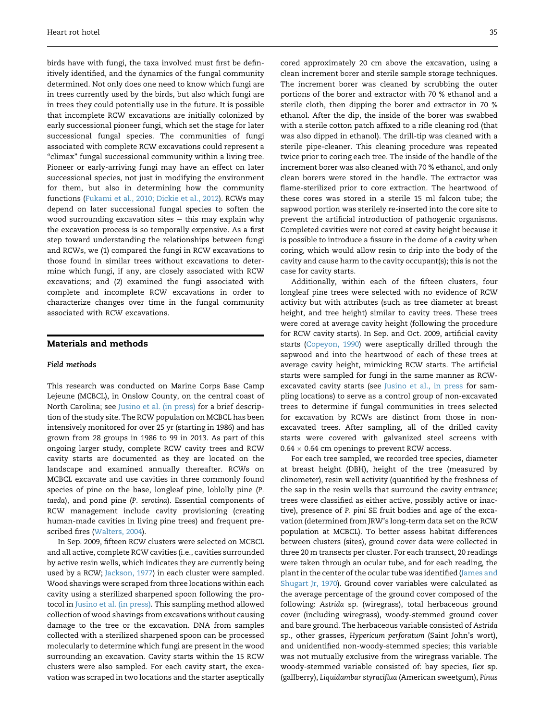birds have with fungi, the taxa involved must first be definitively identified, and the dynamics of the fungal community determined. Not only does one need to know which fungi are in trees currently used by the birds, but also which fungi are in trees they could potentially use in the future. It is possible that incomplete RCW excavations are initially colonized by early successional pioneer fungi, which set the stage for later successional fungal species. The communities of fungi associated with complete RCW excavations could represent a "climax" fungal successional community within a living tree. Pioneer or early-arriving fungi may have an effect on later successional species, not just in modifying the environment for them, but also in determining how the community functions [\(Fukami et al., 2010; Dickie et al., 2012\)](#page-9-0). RCWs may depend on later successional fungal species to soften the wood surrounding excavation sites  $-$  this may explain why the excavation process is so temporally expensive. As a first step toward understanding the relationships between fungi and RCWs, we (1) compared the fungi in RCW excavations to those found in similar trees without excavations to determine which fungi, if any, are closely associated with RCW excavations; and (2) examined the fungi associated with complete and incomplete RCW excavations in order to characterize changes over time in the fungal community associated with RCW excavations.

# Materials and methods

#### Field methods

This research was conducted on Marine Corps Base Camp Lejeune (MCBCL), in Onslow County, on the central coast of North Carolina; see [Jusino et al. \(in press\)](#page-10-0) for a brief description of the study site. The RCW population on MCBCL has been intensively monitored for over 25 yr (starting in 1986) and has grown from 28 groups in 1986 to 99 in 2013. As part of this ongoing larger study, complete RCW cavity trees and RCW cavity starts are documented as they are located on the landscape and examined annually thereafter. RCWs on MCBCL excavate and use cavities in three commonly found species of pine on the base, longleaf pine, loblolly pine (P. taeda), and pond pine (P. serotina). Essential components of RCW management include cavity provisioning (creating human-made cavities in living pine trees) and frequent prescribed fires ([Walters, 2004](#page-10-0)).

In Sep. 2009, fifteen RCW clusters were selected on MCBCL and all active, complete RCW cavities (i.e., cavities surrounded by active resin wells, which indicates they are currently being used by a RCW; [Jackson, 1977](#page-9-0)) in each cluster were sampled. Wood shavings were scraped from three locations within each cavity using a sterilized sharpened spoon following the protocol in [Jusino et al. \(in press\).](#page-10-0) This sampling method allowed collection of wood shavings from excavations without causing damage to the tree or the excavation. DNA from samples collected with a sterilized sharpened spoon can be processed molecularly to determine which fungi are present in the wood surrounding an excavation. Cavity starts within the 15 RCW clusters were also sampled. For each cavity start, the excavation was scraped in two locations and the starter aseptically cored approximately 20 cm above the excavation, using a clean increment borer and sterile sample storage techniques. The increment borer was cleaned by scrubbing the outer portions of the borer and extractor with 70 % ethanol and a sterile cloth, then dipping the borer and extractor in 70 % ethanol. After the dip, the inside of the borer was swabbed with a sterile cotton patch affixed to a rifle cleaning rod (that was also dipped in ethanol). The drill-tip was cleaned with a sterile pipe-cleaner. This cleaning procedure was repeated twice prior to coring each tree. The inside of the handle of the increment borer was also cleaned with 70 % ethanol, and only clean borers were stored in the handle. The extractor was flame-sterilized prior to core extraction. The heartwood of these cores was stored in a sterile 15 ml falcon tube; the sapwood portion was sterilely re-inserted into the core site to prevent the artificial introduction of pathogenic organisms. Completed cavities were not cored at cavity height because it is possible to introduce a fissure in the dome of a cavity when coring, which would allow resin to drip into the body of the cavity and cause harm to the cavity occupant(s); this is not the case for cavity starts.

Additionally, within each of the fifteen clusters, four longleaf pine trees were selected with no evidence of RCW activity but with attributes (such as tree diameter at breast height, and tree height) similar to cavity trees. These trees were cored at average cavity height (following the procedure for RCW cavity starts). In Sep. and Oct. 2009, artificial cavity starts [\(Copeyon, 1990](#page-9-0)) were aseptically drilled through the sapwood and into the heartwood of each of these trees at average cavity height, mimicking RCW starts. The artificial starts were sampled for fungi in the same manner as RCWexcavated cavity starts (see [Jusino et al., in press](#page-10-0) for sampling locations) to serve as a control group of non-excavated trees to determine if fungal communities in trees selected for excavation by RCWs are distinct from those in nonexcavated trees. After sampling, all of the drilled cavity starts were covered with galvanized steel screens with  $0.64 \times 0.64$  cm openings to prevent RCW access.

For each tree sampled, we recorded tree species, diameter at breast height (DBH), height of the tree (measured by clinometer), resin well activity (quantified by the freshness of the sap in the resin wells that surround the cavity entrance; trees were classified as either active, possibly active or inactive), presence of P. pini SE fruit bodies and age of the excavation (determined from JRW's long-term data set on the RCW population at MCBCL). To better assess habitat differences between clusters (sites), ground cover data were collected in three 20 m transects per cluster. For each transect, 20 readings were taken through an ocular tube, and for each reading, the plant in the center of the ocular tube was identified [\(James and](#page-9-0) [Shugart Jr, 1970](#page-9-0)). Ground cover variables were calculated as the average percentage of the ground cover composed of the following: Astrida sp. (wiregrass), total herbaceous ground cover (including wiregrass), woody-stemmed ground cover and bare ground. The herbaceous variable consisted of Astrida sp., other grasses, Hypericum perforatum (Saint John's wort), and unidentified non-woody-stemmed species; this variable was not mutually exclusive from the wiregrass variable. The woody-stemmed variable consisted of: bay species, Ilex sp. (gallberry), Liquidambar styraciflua (American sweetgum), Pinus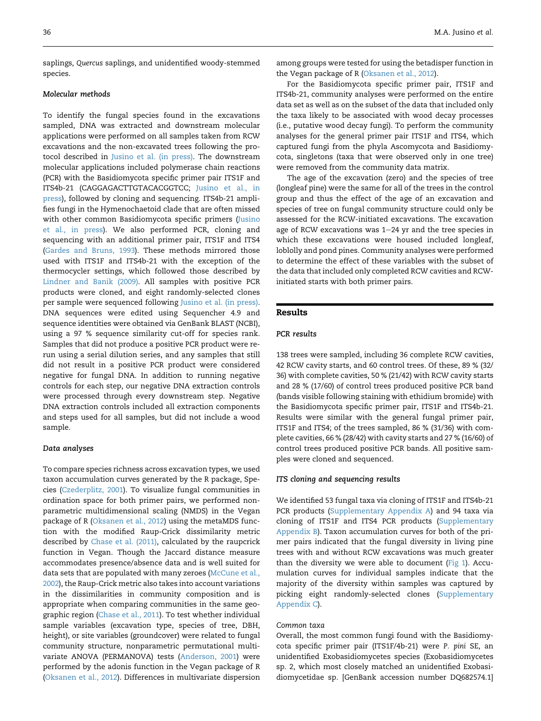saplings, Quercus saplings, and unidentified woody-stemmed species.

# Molecular methods

To identify the fungal species found in the excavations sampled, DNA was extracted and downstream molecular applications were performed on all samples taken from RCW excavations and the non-excavated trees following the protocol described in [Jusino et al. \(in press\)](#page-10-0). The downstream molecular applications included polymerase chain reactions (PCR) with the Basidiomycota specific primer pair ITS1F and ITS4b-21 (CAGGAGACTTGTACACGGTCC; [Jusino et al., in](#page-10-0) [press\)](#page-10-0), followed by cloning and sequencing. ITS4b-21 amplifies fungi in the Hymenochaetoid clade that are often missed with other common Basidiomycota specific primers [\(Jusino](#page-10-0) [et al., in press](#page-10-0)). We also performed PCR, cloning and sequencing with an additional primer pair, ITS1F and ITS4 ([Gardes and Bruns, 1993\)](#page-9-0). These methods mirrored those used with ITS1F and ITS4b-21 with the exception of the thermocycler settings, which followed those described by [Lindner and Banik \(2009\)](#page-10-0). All samples with positive PCR products were cloned, and eight randomly-selected clones per sample were sequenced following [Jusino et al. \(in press\)](#page-10-0). DNA sequences were edited using Sequencher 4.9 and sequence identities were obtained via GenBank BLAST (NCBI), using a 97 % sequence similarity cut-off for species rank. Samples that did not produce a positive PCR product were rerun using a serial dilution series, and any samples that still did not result in a positive PCR product were considered negative for fungal DNA. In addition to running negative controls for each step, our negative DNA extraction controls were processed through every downstream step. Negative DNA extraction controls included all extraction components and steps used for all samples, but did not include a wood sample.

## Data analyses

To compare species richness across excavation types, we used taxon accumulation curves generated by the R package, Species [\(Czederplitz, 2001\)](#page-9-0). To visualize fungal communities in ordination space for both primer pairs, we performed nonparametric multidimensional scaling (NMDS) in the Vegan package of R [\(Oksanen et al., 2012\)](#page-10-0) using the metaMDS function with the modified Raup-Crick dissimilarity metric described by [Chase et al. \(2011\),](#page-9-0) calculated by the raupcrick function in Vegan. Though the Jaccard distance measure accommodates presence/absence data and is well suited for data sets that are populated with many zeroes ([McCune et al.,](#page-10-0) [2002\)](#page-10-0), the Raup-Crick metric also takes into account variations in the dissimilarities in community composition and is appropriate when comparing communities in the same geographic region [\(Chase et al., 2011\)](#page-9-0). To test whether individual sample variables (excavation type, species of tree, DBH, height), or site variables (groundcover) were related to fungal community structure, nonparametric permutational multivariate ANOVA (PERMANOVA) tests [\(Anderson, 2001\)](#page-9-0) were performed by the adonis function in the Vegan package of R ([Oksanen et al., 2012](#page-10-0)). Differences in multivariate dispersion

among groups were tested for using the betadisper function in the Vegan package of R [\(Oksanen et al., 2012](#page-10-0)).

For the Basidiomycota specific primer pair, ITS1F and ITS4b-21, community analyses were performed on the entire data set as well as on the subset of the data that included only the taxa likely to be associated with wood decay processes (i.e., putative wood decay fungi). To perform the community analyses for the general primer pair ITS1F and ITS4, which captured fungi from the phyla Ascomycota and Basidiomycota, singletons (taxa that were observed only in one tree) were removed from the community data matrix.

The age of the excavation (zero) and the species of tree (longleaf pine) were the same for all of the trees in the control group and thus the effect of the age of an excavation and species of tree on fungal community structure could only be assessed for the RCW-initiated excavations. The excavation age of RCW excavations was 1-24 yr and the tree species in which these excavations were housed included longleaf, loblolly and pond pines. Community analyses were performed to determine the effect of these variables with the subset of the data that included only completed RCW cavities and RCWinitiated starts with both primer pairs.

#### Results

## PCR results

138 trees were sampled, including 36 complete RCW cavities, 42 RCW cavity starts, and 60 control trees. Of these, 89 % (32/ 36) with complete cavities, 50 % (21/42) with RCW cavity starts and 28 % (17/60) of control trees produced positive PCR band (bands visible following staining with ethidium bromide) with the Basidiomycota specific primer pair, ITS1F and ITS4b-21. Results were similar with the general fungal primer pair, ITS1F and ITS4; of the trees sampled, 86 % (31/36) with complete cavities, 66 % (28/42) with cavity starts and 27 % (16/60) of control trees produced positive PCR bands. All positive samples were cloned and sequenced.

# ITS cloning and sequencing results

We identified 53 fungal taxa via cloning of ITS1F and ITS4b-21 PCR products ([Supplementary Appendix A](#page-9-0)) and 94 taxa via cloning of ITS1F and ITS4 PCR products ([Supplementary](#page-9-0) [Appendix B\)](#page-9-0). Taxon accumulation curves for both of the primer pairs indicated that the fungal diversity in living pine trees with and without RCW excavations was much greater than the diversity we were able to document ([Fig 1\)](#page-4-0). Accumulation curves for individual samples indicate that the majority of the diversity within samples was captured by picking eight randomly-selected clones ([Supplementary](#page-9-0) [Appendix C\)](#page-9-0).

## Common taxa

Overall, the most common fungi found with the Basidiomycota specific primer pair (ITS1F/4b-21) were P. pini SE, an unidentified Exobasidiomycetes species (Exobasidiomycetes sp. 2, which most closely matched an unidentified Exobasidiomycetidae sp. [GenBank accession number DQ682574.1]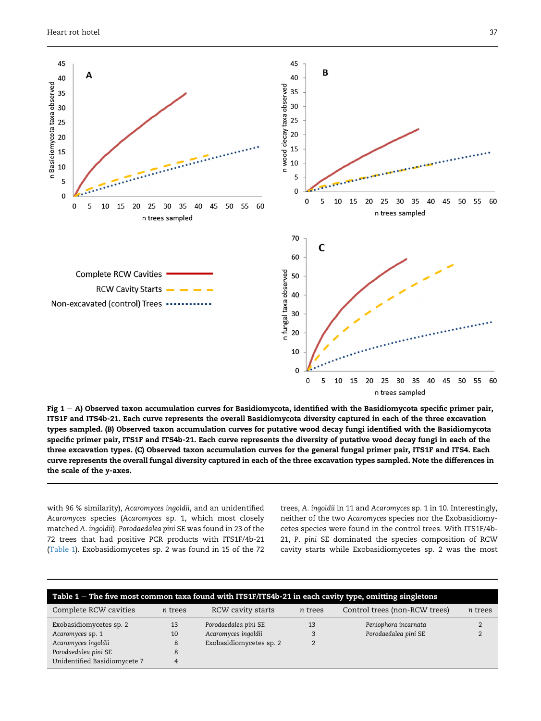<span id="page-4-0"></span>

Fig  $1 - A$ ) Observed taxon accumulation curves for Basidiomycota, identified with the Basidiomycota specific primer pair, ITS1F and ITS4b-21. Each curve represents the overall Basidiomycota diversity captured in each of the three excavation types sampled. (B) Observed taxon accumulation curves for putative wood decay fungi identified with the Basidiomycota specific primer pair, ITS1F and ITS4b-21. Each curve represents the diversity of putative wood decay fungi in each of the three excavation types. (C) Observed taxon accumulation curves for the general fungal primer pair, ITS1F and ITS4. Each curve represents the overall fungal diversity captured in each of the three excavation types sampled. Note the differences in the scale of the y-axes.

with 96 % similarity), Acaromyces ingoldii, and an unidentified Acaromyces species (Acaromyces sp. 1, which most closely matched A. ingoldii). Porodaedalea pini SE was found in 23 of the 72 trees that had positive PCR products with ITS1F/4b-21 (Table 1). Exobasidiomycetes sp. 2 was found in 15 of the 72

trees, A. ingoldii in 11 and Acaromyces sp. 1 in 10. Interestingly, neither of the two Acaromyces species nor the Exobasidiomycetes species were found in the control trees. With ITS1F/4b-21, P. pini SE dominated the species composition of RCW cavity starts while Exobasidiomycetes sp. 2 was the most

| Table $1$ – The five most common taxa found with ITS1F/ITS4b-21 in each cavity type, omitting singletons |         |                         |         |                               |         |  |  |  |  |
|----------------------------------------------------------------------------------------------------------|---------|-------------------------|---------|-------------------------------|---------|--|--|--|--|
| Complete RCW cavities                                                                                    | n trees | RCW cavity starts       | n trees | Control trees (non-RCW trees) | n trees |  |  |  |  |
| Exobasidiomycetes sp. 2                                                                                  | 13      | Porodaedalea pini SE    | 13      | Peniophora incarnata          |         |  |  |  |  |
| Acaromyces sp. 1                                                                                         | 10      | Acaromyces ingoldii     |         | Porodaedalea pini SE          |         |  |  |  |  |
| Acaromyces ingoldii                                                                                      | 8       | Exobasidiomycetes sp. 2 |         |                               |         |  |  |  |  |
| Porodaedalea pini SE                                                                                     |         |                         |         |                               |         |  |  |  |  |
| Unidentified Basidiomycete 7                                                                             |         |                         |         |                               |         |  |  |  |  |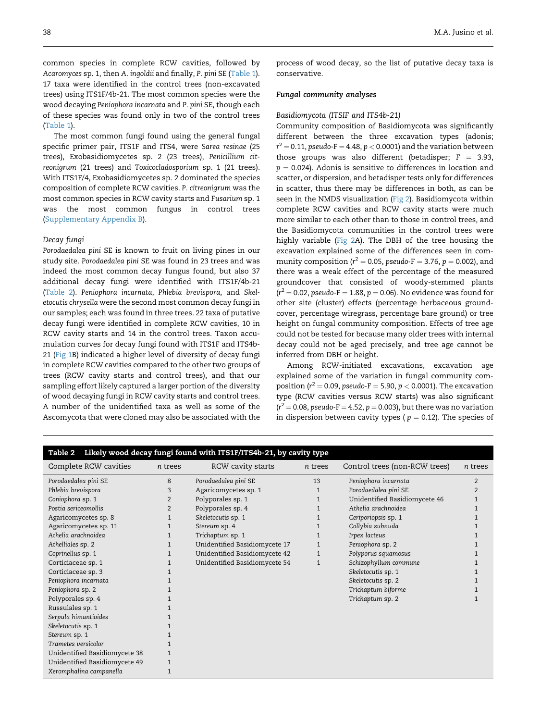<span id="page-5-0"></span>common species in complete RCW cavities, followed by Acaromyces sp. 1, then A. ingoldii and finally, P. pini SE ([Table 1\)](#page-4-0). 17 taxa were identified in the control trees (non-excavated trees) using ITS1F/4b-21. The most common species were the wood decaying Peniophora incarnata and P. pini SE, though each of these species was found only in two of the control trees ([Table 1\)](#page-4-0).

The most common fungi found using the general fungal specific primer pair, ITS1F and ITS4, were Sarea resinae (25 trees), Exobasidiomycetes sp. 2 (23 trees), Penicillium citreonigrum (21 trees) and Toxicocladosporium sp. 1 (21 trees). With ITS1F/4, Exobasidiomycetes sp. 2 dominated the species composition of complete RCW cavities. P. citreonigrum was the most common species in RCW cavity starts and Fusarium sp. 1 was the most common fungus in control trees ([Supplementary Appendix B](#page-9-0)).

# Decay fungi

Porodaedalea pini SE is known to fruit on living pines in our study site. Porodaedalea pini SE was found in 23 trees and was indeed the most common decay fungus found, but also 37 additional decay fungi were identified with ITS1F/4b-21 (Table 2). Peniophora incarnata, Phlebia brevispora, and Skeletocutis chrysella were the second most common decay fungi in our samples; each was found in three trees. 22 taxa of putative decay fungi were identified in complete RCW cavities, 10 in RCW cavity starts and 14 in the control trees. Taxon accumulation curves for decay fungi found with ITS1F and ITS4b-21 [\(Fig 1](#page-4-0)B) indicated a higher level of diversity of decay fungi in complete RCW cavities compared to the other two groups of trees (RCW cavity starts and control trees), and that our sampling effort likely captured a larger portion of the diversity of wood decaying fungi in RCW cavity starts and control trees. A number of the unidentified taxa as well as some of the Ascomycota that were cloned may also be associated with the

process of wood decay, so the list of putative decay taxa is conservative.

# Fungal community analyses

## Basidiomycota (ITSIF and ITS4b-21)

Community composition of Basidiomycota was significantly different between the three excavation types (adonis;  $r^2$  = 0.11, pseudo-F = 4.48, p  $<$  0.0001) and the variation between those groups was also different (betadisper;  $F = 3.93$ ,  $p = 0.024$ ). Adonis is sensitive to differences in location and scatter, or dispersion, and betadisper tests only for differences in scatter, thus there may be differences in both, as can be seen in the NMDS visualization ([Fig 2\)](#page-6-0). Basidiomycota within complete RCW cavities and RCW cavity starts were much more similar to each other than to those in control trees, and the Basidiomycota communities in the control trees were highly variable ([Fig 2A](#page-6-0)). The DBH of the tree housing the excavation explained some of the differences seen in community composition ( $r^2 = 0.05$ , pseudo-F = 3.76, p = 0.002), and there was a weak effect of the percentage of the measured groundcover that consisted of woody-stemmed plants  $(r^2 = 0.02$ , pseudo-F  $= 1.88$ ,  $p = 0.06$ ). No evidence was found for other site (cluster) effects (percentage herbaceous groundcover, percentage wiregrass, percentage bare ground) or tree height on fungal community composition. Effects of tree age could not be tested for because many older trees with internal decay could not be aged precisely, and tree age cannot be inferred from DBH or height.

Among RCW-initiated excavations, excavation age explained some of the variation in fungal community composition ( $r^2 = 0.09$ , pseudo-F  $= 5.90$ ,  $p < 0.0001$ ). The excavation type (RCW cavities versus RCW starts) was also significant  $(r^2 = 0.08$ , pseudo-F = 4.52, p = 0.003), but there was no variation in dispersion between cavity types ( $p = 0.12$ ). The species of

| Table 2 - Likely wood decay fungi found with ITS1F/ITS4b-21, by cavity type |                |                               |              |                               |                |  |  |  |  |
|-----------------------------------------------------------------------------|----------------|-------------------------------|--------------|-------------------------------|----------------|--|--|--|--|
| Complete RCW cavities                                                       | n trees        | RCW cavity starts             | n trees      | Control trees (non-RCW trees) | n trees        |  |  |  |  |
| Porodaedalea pini SE                                                        | 8              | Porodaedalea pini SE          | 13           | Peniophora incarnata          | $\overline{2}$ |  |  |  |  |
| Phlebia brevispora                                                          | 3              | Agaricomycetes sp. 1          | $\mathbf{1}$ | Porodaedalea pini SE          | $\overline{2}$ |  |  |  |  |
| Coniophora sp. 1                                                            | 2              | Polyporales sp. 1             |              | Unidentified Basidiomycete 46 |                |  |  |  |  |
| Postia sericeomollis                                                        | $\overline{2}$ | Polyporales sp. 4             |              | Athelia arachnoidea           |                |  |  |  |  |
| Agaricomycetes sp. 8                                                        | 1              | Skeletocutis sp. 1            |              | Ceriporiopsis sp. 1           |                |  |  |  |  |
| Agaricomycetes sp. 11                                                       | $\mathbf{1}$   | Stereum sp. 4                 |              | Collybia subnuda              |                |  |  |  |  |
| Athelia arachnoidea                                                         | $\mathbf{1}$   | Trichaptum sp. 1              | 1            | Irpex lacteus                 |                |  |  |  |  |
| Athelliales sp. 2                                                           | 1              | Unidentified Basidiomycete 17 | $\mathbf{1}$ | Peniophora sp. 2              |                |  |  |  |  |
| Coprinellus sp. 1                                                           | 1              | Unidentified Basidiomycete 42 | $\mathbf{1}$ | Polyporus squamosus           |                |  |  |  |  |
| Corticiaceae sp. 1                                                          | 1              | Unidentified Basidiomycete 54 | 1            | Schizophyllum commune         |                |  |  |  |  |
| Corticiaceae sp. 3                                                          |                |                               |              | Skeletocutis sp. 1            |                |  |  |  |  |
| Peniophora incarnata                                                        |                |                               |              | Skeletocutis sp. 2            |                |  |  |  |  |
| Peniophora sp. 2                                                            |                |                               |              | Trichaptum biforme            |                |  |  |  |  |
| Polyporales sp. 4                                                           |                |                               |              | Trichaptum sp. 2              |                |  |  |  |  |
| Russulales sp. 1                                                            |                |                               |              |                               |                |  |  |  |  |
| Serpula himantioides                                                        |                |                               |              |                               |                |  |  |  |  |
| Skeletocutis sp. 1                                                          |                |                               |              |                               |                |  |  |  |  |
| Stereum sp. 1                                                               |                |                               |              |                               |                |  |  |  |  |
| Trametes versicolor                                                         |                |                               |              |                               |                |  |  |  |  |
| Unidentified Basidiomycete 38                                               | $\mathbf{1}$   |                               |              |                               |                |  |  |  |  |
| Unidentified Basidiomycete 49                                               | 1              |                               |              |                               |                |  |  |  |  |
| Xeromphalina campanella                                                     | $\mathbf{1}$   |                               |              |                               |                |  |  |  |  |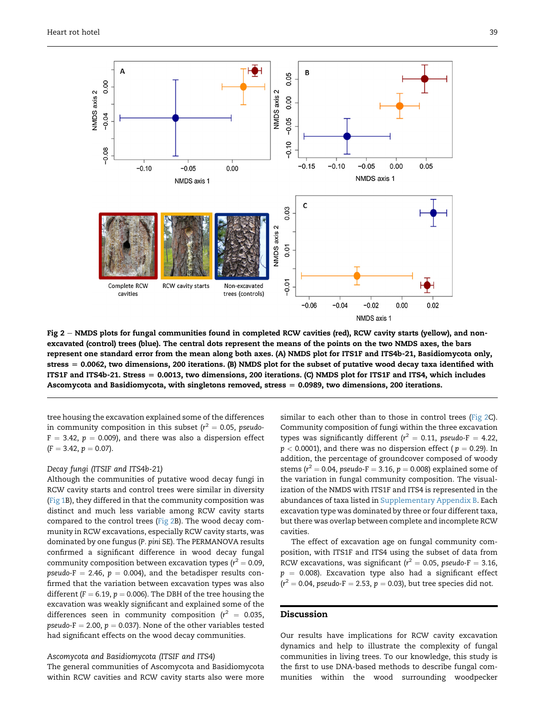<span id="page-6-0"></span>

Fig 2  $-$  NMDS plots for fungal communities found in completed RCW cavities (red), RCW cavity starts (yellow), and nonexcavated (control) trees (blue). The central dots represent the means of the points on the two NMDS axes, the bars represent one standard error from the mean along both axes. (A) NMDS plot for ITS1F and ITS4b-21, Basidiomycota only,  $stress = 0.0062$ , two dimensions, 200 iterations. (B) NMDS plot for the subset of putative wood decay taxa identified with ITS1F and ITS4b-21. Stress  $= 0.0013$ , two dimensions, 200 iterations. (C) NMDS plot for ITS1F and ITS4, which includes Ascomycota and Basidiomycota, with singletons removed, stress  $= 0.0989$ , two dimensions, 200 iterations.

tree housing the excavation explained some of the differences in community composition in this subset ( $r^2 = 0.05$ , pseudo- $F = 3.42$ ,  $p = 0.009$ ), and there was also a dispersion effect  $(F = 3.42, p = 0.07).$ 

# Decay fungi (ITSIF and ITS4b-21)

Although the communities of putative wood decay fungi in RCW cavity starts and control trees were similar in diversity [\(Fig 1B](#page-4-0)), they differed in that the community composition was distinct and much less variable among RCW cavity starts compared to the control trees (Fig 2B). The wood decay community in RCW excavations, especially RCW cavity starts, was dominated by one fungus (P. pini SE). The PERMANOVA results confirmed a significant difference in wood decay fungal community composition between excavation types ( $r^2 = 0.09$ , pseudo-F = 2.46,  $p = 0.004$ ), and the betadisper results confirmed that the variation between excavation types was also different ( $F = 6.19$ ,  $p = 0.006$ ). The DBH of the tree housing the excavation was weakly significant and explained some of the differences seen in community composition ( $r^2 = 0.035$ , pseudo-F = 2.00,  $p = 0.037$ ). None of the other variables tested had significant effects on the wood decay communities.

## Ascomycota and Basidiomycota (ITSIF and ITS4)

The general communities of Ascomycota and Basidiomycota within RCW cavities and RCW cavity starts also were more similar to each other than to those in control trees (Fig 2C). Community composition of fungi within the three excavation types was significantly different ( $r^2 = 0.11$ , pseudo-F = 4.22,  $p < 0.0001$ ), and there was no dispersion effect ( $p = 0.29$ ). In addition, the percentage of groundcover composed of woody stems ( $r^2 = 0.04$ , pseudo-F  $= 3.16$ ,  $p = 0.008$ ) explained some of the variation in fungal community composition. The visualization of the NMDS with ITS1F and ITS4 is represented in the abundances of taxa listed in [Supplementary Appendix B](#page-9-0). Each excavation type was dominated by three or four different taxa, but there was overlap between complete and incomplete RCW cavities.

The effect of excavation age on fungal community composition, with ITS1F and ITS4 using the subset of data from RCW excavations, was significant ( $r^2 = 0.05$ , pseudo-F  $= 3.16$ ,  $p = 0.008$ ). Excavation type also had a significant effect  $(r^2 = 0.04$ , pseudo-F = 2.53, p = 0.03), but tree species did not.

# Discussion

Our results have implications for RCW cavity excavation dynamics and help to illustrate the complexity of fungal communities in living trees. To our knowledge, this study is the first to use DNA-based methods to describe fungal communities within the wood surrounding woodpecker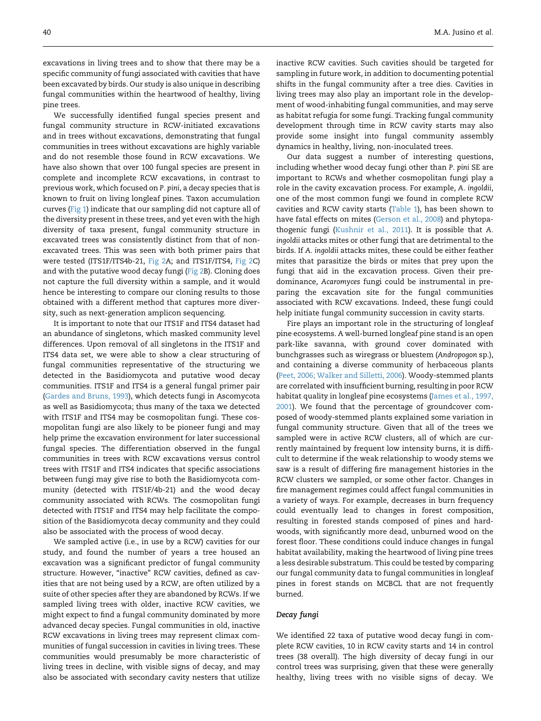excavations in living trees and to show that there may be a specific community of fungi associated with cavities that have been excavated by birds. Our study is also unique in describing fungal communities within the heartwood of healthy, living pine trees.

We successfully identified fungal species present and fungal community structure in RCW-initiated excavations and in trees without excavations, demonstrating that fungal communities in trees without excavations are highly variable and do not resemble those found in RCW excavations. We have also shown that over 100 fungal species are present in complete and incomplete RCW excavations, in contrast to previous work, which focused on P. pini, a decay species that is known to fruit on living longleaf pines. Taxon accumulation curves [\(Fig 1](#page-4-0)) indicate that our sampling did not capture all of the diversity present in these trees, and yet even with the high diversity of taxa present, fungal community structure in excavated trees was consistently distinct from that of nonexcavated trees. This was seen with both primer pairs that were tested (ITS1F/ITS4b-21, [Fig 2](#page-6-0)A; and ITS1F/ITS4, [Fig 2](#page-6-0)C) and with the putative wood decay fungi [\(Fig 2](#page-6-0)B). Cloning does not capture the full diversity within a sample, and it would hence be interesting to compare our cloning results to those obtained with a different method that captures more diversity, such as next-generation amplicon sequencing.

It is important to note that our ITS1F and ITS4 dataset had an abundance of singletons, which masked community level differences. Upon removal of all singletons in the ITS1F and ITS4 data set, we were able to show a clear structuring of fungal communities representative of the structuring we detected in the Basidiomycota and putative wood decay communities. ITS1F and ITS4 is a general fungal primer pair ([Gardes and Bruns, 1993](#page-9-0)), which detects fungi in Ascomycota as well as Basidiomycota; thus many of the taxa we detected with ITS1F and ITS4 may be cosmopolitan fungi. These cosmopolitan fungi are also likely to be pioneer fungi and may help prime the excavation environment for later successional fungal species. The differentiation observed in the fungal communities in trees with RCW excavations versus control trees with ITS1F and ITS4 indicates that specific associations between fungi may give rise to both the Basidiomycota community (detected with ITS1F/4b-21) and the wood decay community associated with RCWs. The cosmopolitan fungi detected with ITS1F and ITS4 may help facilitate the composition of the Basidiomycota decay community and they could also be associated with the process of wood decay.

We sampled active (i.e., in use by a RCW) cavities for our study, and found the number of years a tree housed an excavation was a significant predictor of fungal community structure. However, "inactive" RCW cavities, defined as cavities that are not being used by a RCW, are often utilized by a suite of other species after they are abandoned by RCWs. If we sampled living trees with older, inactive RCW cavities, we might expect to find a fungal community dominated by more advanced decay species. Fungal communities in old, inactive RCW excavations in living trees may represent climax communities of fungal succession in cavities in living trees. These communities would presumably be more characteristic of living trees in decline, with visible signs of decay, and may also be associated with secondary cavity nesters that utilize

inactive RCW cavities. Such cavities should be targeted for sampling in future work, in addition to documenting potential shifts in the fungal community after a tree dies. Cavities in living trees may also play an important role in the development of wood-inhabiting fungal communities, and may serve as habitat refugia for some fungi. Tracking fungal community development through time in RCW cavity starts may also provide some insight into fungal community assembly dynamics in healthy, living, non-inoculated trees.

Our data suggest a number of interesting questions, including whether wood decay fungi other than P. pini SE are important to RCWs and whether cosmopolitan fungi play a role in the cavity excavation process. For example, A. ingoldii, one of the most common fungi we found in complete RCW cavities and RCW cavity starts ([Table 1\)](#page-4-0), has been shown to have fatal effects on mites ([Gerson et al., 2008\)](#page-9-0) and phytopathogenic fungi [\(Kushnir et al., 2011\)](#page-10-0). It is possible that A. ingoldii attacks mites or other fungi that are detrimental to the birds. If A. ingoldii attacks mites, these could be either feather mites that parasitize the birds or mites that prey upon the fungi that aid in the excavation process. Given their predominance, Acaromyces fungi could be instrumental in preparing the excavation site for the fungal communities associated with RCW excavations. Indeed, these fungi could help initiate fungal community succession in cavity starts.

Fire plays an important role in the structuring of longleaf pine ecosystems. A well-burned longleaf pine stand is an open park-like savanna, with ground cover dominated with bunchgrasses such as wiregrass or bluestem (Andropogon sp.), and containing a diverse community of herbaceous plants ([Peet, 2006; Walker and Silletti, 2006](#page-10-0)). Woody-stemmed plants are correlated with insufficient burning, resulting in poor RCW habitat quality in longleaf pine ecosystems [\(James et al., 1997,](#page-9-0) [2001\)](#page-9-0). We found that the percentage of groundcover composed of woody-stemmed plants explained some variation in fungal community structure. Given that all of the trees we sampled were in active RCW clusters, all of which are currently maintained by frequent low intensity burns, it is difficult to determine if the weak relationship to woody stems we saw is a result of differing fire management histories in the RCW clusters we sampled, or some other factor. Changes in fire management regimes could affect fungal communities in a variety of ways. For example, decreases in burn frequency could eventually lead to changes in forest composition, resulting in forested stands composed of pines and hardwoods, with significantly more dead, unburned wood on the forest floor. These conditions could induce changes in fungal habitat availability, making the heartwood of living pine trees a less desirable substratum. This could be tested by comparing our fungal community data to fungal communities in longleaf pines in forest stands on MCBCL that are not frequently burned.

# Decay fungi

We identified 22 taxa of putative wood decay fungi in complete RCW cavities, 10 in RCW cavity starts and 14 in control trees (38 overall). The high diversity of decay fungi in our control trees was surprising, given that these were generally healthy, living trees with no visible signs of decay. We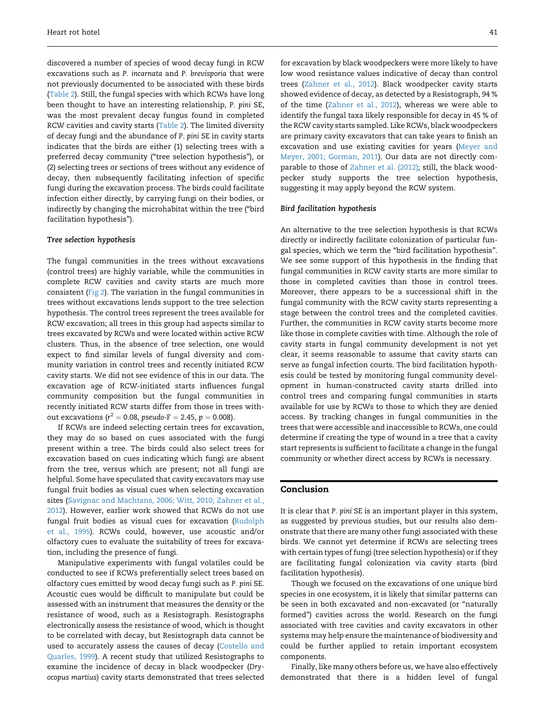discovered a number of species of wood decay fungi in RCW excavations such as P. incarnata and P. brevisporia that were not previously documented to be associated with these birds [\(Table 2](#page-5-0)). Still, the fungal species with which RCWs have long been thought to have an interesting relationship, P. pini SE, was the most prevalent decay fungus found in completed RCW cavities and cavity starts ([Table 2\)](#page-5-0). The limited diversity of decay fungi and the abundance of P. pini SE in cavity starts indicates that the birds are either (1) selecting trees with a preferred decay community ("tree selection hypothesis"), or (2) selecting trees or sections of trees without any evidence of decay, then subsequently facilitating infection of specific fungi during the excavation process. The birds could facilitate infection either directly, by carrying fungi on their bodies, or indirectly by changing the microhabitat within the tree ("bird facilitation hypothesis").

# Tree selection hypothesis

The fungal communities in the trees without excavations (control trees) are highly variable, while the communities in complete RCW cavities and cavity starts are much more consistent [\(Fig 2](#page-6-0)). The variation in the fungal communities in trees without excavations lends support to the tree selection hypothesis. The control trees represent the trees available for RCW excavation; all trees in this group had aspects similar to trees excavated by RCWs and were located within active RCW clusters. Thus, in the absence of tree selection, one would expect to find similar levels of fungal diversity and community variation in control trees and recently initiated RCW cavity starts. We did not see evidence of this in our data. The excavation age of RCW-initiated starts influences fungal community composition but the fungal communities in recently initiated RCW starts differ from those in trees without excavations ( $r^2 = 0.08$ , pseudo-F  $= 2.45$ ,  $p = 0.008$ ).

If RCWs are indeed selecting certain trees for excavation, they may do so based on cues associated with the fungi present within a tree. The birds could also select trees for excavation based on cues indicating which fungi are absent from the tree, versus which are present; not all fungi are helpful. Some have speculated that cavity excavators may use fungal fruit bodies as visual cues when selecting excavation sites ([Savignac and Machtans, 2006; Witt, 2010; Zahner et al.,](#page-10-0) [2012](#page-10-0)). However, earlier work showed that RCWs do not use fungal fruit bodies as visual cues for excavation [\(Rudolph](#page-10-0) [et al., 1995](#page-10-0)). RCWs could, however, use acoustic and/or olfactory cues to evaluate the suitability of trees for excavation, including the presence of fungi.

Manipulative experiments with fungal volatiles could be conducted to see if RCWs preferentially select trees based on olfactory cues emitted by wood decay fungi such as P. pini SE. Acoustic cues would be difficult to manipulate but could be assessed with an instrument that measures the density or the resistance of wood, such as a Resistograph. Resistographs electronically assess the resistance of wood, which is thought to be correlated with decay, but Resistograph data cannot be used to accurately assess the causes of decay ([Costello and](#page-9-0) [Quarles, 1999\)](#page-9-0). A recent study that utilized Resistographs to examine the incidence of decay in black woodpecker (Dryocopus martius) cavity starts demonstrated that trees selected

for excavation by black woodpeckers were more likely to have low wood resistance values indicative of decay than control trees ([Zahner et al., 2012](#page-10-0)). Black woodpecker cavity starts showed evidence of decay, as detected by a Resistograph, 94 % of the time [\(Zahner et al., 2012](#page-10-0)), whereas we were able to identify the fungal taxa likely responsible for decay in 45 % of the RCW cavity starts sampled. Like RCWs, black woodpeckers are primary cavity excavators that can take years to finish an excavation and use existing cavities for years ([Meyer and](#page-10-0) [Meyer, 2001; Gorman, 2011\)](#page-10-0). Our data are not directly comparable to those of [Zahner et al. \(2012\);](#page-10-0) still, the black woodpecker study supports the tree selection hypothesis, suggesting it may apply beyond the RCW system.

# Bird facilitation hypothesis

An alternative to the tree selection hypothesis is that RCWs directly or indirectly facilitate colonization of particular fungal species, which we term the "bird facilitation hypothesis". We see some support of this hypothesis in the finding that fungal communities in RCW cavity starts are more similar to those in completed cavities than those in control trees. Moreover, there appears to be a successional shift in the fungal community with the RCW cavity starts representing a stage between the control trees and the completed cavities. Further, the communities in RCW cavity starts become more like those in complete cavities with time. Although the role of cavity starts in fungal community development is not yet clear, it seems reasonable to assume that cavity starts can serve as fungal infection courts. The bird facilitation hypothesis could be tested by monitoring fungal community development in human-constructed cavity starts drilled into control trees and comparing fungal communities in starts available for use by RCWs to those to which they are denied access. By tracking changes in fungal communities in the trees that were accessible and inaccessible to RCWs, one could determine if creating the type of wound in a tree that a cavity start represents is sufficient to facilitate a change in the fungal community or whether direct access by RCWs is necessary.

# Conclusion

It is clear that P. pini SE is an important player in this system, as suggested by previous studies, but our results also demonstrate that there are many other fungi associated with these birds. We cannot yet determine if RCWs are selecting trees with certain types of fungi (tree selection hypothesis) or if they are facilitating fungal colonization via cavity starts (bird facilitation hypothesis).

Though we focused on the excavations of one unique bird species in one ecosystem, it is likely that similar patterns can be seen in both excavated and non-excavated (or "naturally formed") cavities across the world. Research on the fungi associated with tree cavities and cavity excavators in other systems may help ensure the maintenance of biodiversity and could be further applied to retain important ecosystem components.

Finally, like many others before us, we have also effectively demonstrated that there is a hidden level of fungal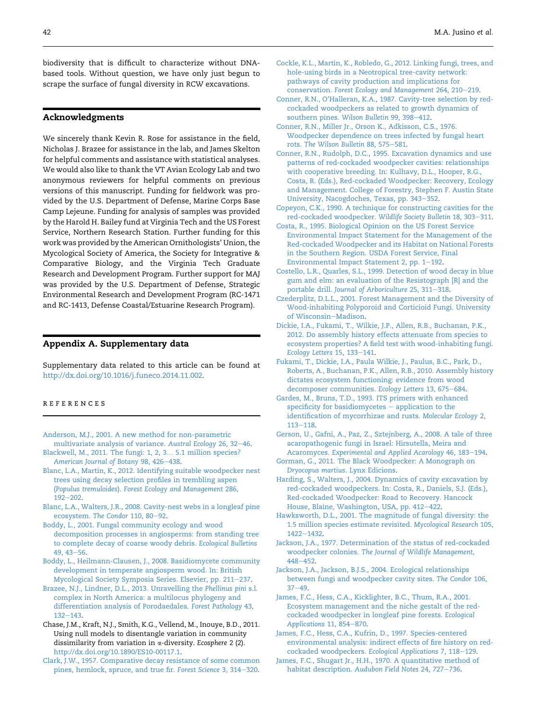<span id="page-9-0"></span>biodiversity that is difficult to characterize without DNAbased tools. Without question, we have only just begun to scrape the surface of fungal diversity in RCW excavations.

# Acknowledgments

We sincerely thank Kevin R. Rose for assistance in the field, Nicholas J. Brazee for assistance in the lab, and James Skelton for helpful comments and assistance with statistical analyses. We would also like to thank the VT Avian Ecology Lab and two anonymous reviewers for helpful comments on previous versions of this manuscript. Funding for fieldwork was provided by the U.S. Department of Defense, Marine Corps Base Camp Lejeune. Funding for analysis of samples was provided by the Harold H. Bailey fund at Virginia Tech and the US Forest Service, Northern Research Station. Further funding for this work was provided by the American Ornithologists' Union, the Mycological Society of America, the Society for Integrative & Comparative Biology, and the Virginia Tech Graduate Research and Development Program. Further support for MAJ was provided by the U.S. Department of Defense, Strategic Environmental Research and Development Program (RC-1471 and RC-1413, Defense Coastal/Estuarine Research Program).

# Appendix A. Supplementary data

Supplementary data related to this article can be found at [http://dx.doi.org/10.1016/j.funeco.2014.11.002.](http://dx.doi.org/10.1016/j.funeco.2014.11.002)

# references

[Anderson, M.J., 2001. A new method for non-parametric](http://refhub.elsevier.com/S1754-5048(14)00150-0/sref1) [multivariate analysis of variance.](http://refhub.elsevier.com/S1754-5048(14)00150-0/sref1) Austral Ecology 26, 32-[46.](http://refhub.elsevier.com/S1754-5048(14)00150-0/sref1)

[Blackwell, M., 2011. The fungi: 1, 2, 3](http://refhub.elsevier.com/S1754-5048(14)00150-0/sref2)... [5.1 million species?](http://refhub.elsevier.com/S1754-5048(14)00150-0/sref2) [American Journal of Botany](http://refhub.elsevier.com/S1754-5048(14)00150-0/sref2) 98, 426-[438](http://refhub.elsevier.com/S1754-5048(14)00150-0/sref2).

- [Blanc, L.A., Martin, K., 2012. Identifying suitable woodpecker nest](http://refhub.elsevier.com/S1754-5048(14)00150-0/sref3) [trees using decay selection profiles in trembling aspen](http://refhub.elsevier.com/S1754-5048(14)00150-0/sref3) (Populus tremuloides). [Forest Ecology and Management](http://refhub.elsevier.com/S1754-5048(14)00150-0/sref3) 286,  $192 - 202$  $192 - 202$ .
- [Blanc, L.A., Walters, J.R., 2008. Cavity-nest webs in a longleaf pine](http://refhub.elsevier.com/S1754-5048(14)00150-0/sref4) [ecosystem.](http://refhub.elsevier.com/S1754-5048(14)00150-0/sref4) The Condor 110, 80-[92.](http://refhub.elsevier.com/S1754-5048(14)00150-0/sref4)
- [Boddy, L., 2001. Fungal community ecology and wood](http://refhub.elsevier.com/S1754-5048(14)00150-0/sref5) [decomposition processes in angiosperms: from standing tree](http://refhub.elsevier.com/S1754-5048(14)00150-0/sref5) [to complete decay of coarse woody debris.](http://refhub.elsevier.com/S1754-5048(14)00150-0/sref5) Ecological Bulletins  $49.43 - 56.$  $49.43 - 56.$  $49.43 - 56.$
- [Boddy, L., Heilmann-Clausen, J., 2008. Basidiomycete community](http://refhub.elsevier.com/S1754-5048(14)00150-0/sref6) [development in temperate angiosperm wood. In: British](http://refhub.elsevier.com/S1754-5048(14)00150-0/sref6) [Mycological Society Symposia Series. Elsevier, pp. 211](http://refhub.elsevier.com/S1754-5048(14)00150-0/sref6)-[237](http://refhub.elsevier.com/S1754-5048(14)00150-0/sref6).
- [Brazee, N.J., Lindner, D.L., 2013. Unravelling the](http://refhub.elsevier.com/S1754-5048(14)00150-0/sref7) Phellinus pini s.l. [complex in North America: a multilocus phylogeny and](http://refhub.elsevier.com/S1754-5048(14)00150-0/sref7) [differentiation analysis of Porodaedalea.](http://refhub.elsevier.com/S1754-5048(14)00150-0/sref7) Forest Pathology 43,  $132 - 143.$  $132 - 143.$  $132 - 143.$
- Chase, J.M., Kraft, N.J., Smith, K.G., Vellend, M., Inouye, B.D., 2011. Using null models to disentangle variation in community dissimilarity from variation in  $\alpha$ -diversity. Ecosphere 2 (2). <http://dx.doi.org/10.1890/ES10-00117.1>.
- [Clark, J.W., 1957. Comparative decay resistance of some common](http://refhub.elsevier.com/S1754-5048(14)00150-0/sref9) [pines, hemlock, spruce, and true fir.](http://refhub.elsevier.com/S1754-5048(14)00150-0/sref9) Forest Science 3, 314-[320.](http://refhub.elsevier.com/S1754-5048(14)00150-0/sref9)
- [Cockle, K.L., Martin, K., Robledo, G., 2012. Linking fungi, trees, and](http://refhub.elsevier.com/S1754-5048(14)00150-0/sref10) [hole-using birds in a Neotropical tree-cavity network:](http://refhub.elsevier.com/S1754-5048(14)00150-0/sref10) [pathways of cavity production and implications for](http://refhub.elsevier.com/S1754-5048(14)00150-0/sref10) conservation. [Forest Ecology and Management](http://refhub.elsevier.com/S1754-5048(14)00150-0/sref10) 264, 210-[219.](http://refhub.elsevier.com/S1754-5048(14)00150-0/sref10)
- [Conner, R.N., O'Halleran, K.A., 1987. Cavity-tree selection by red](http://refhub.elsevier.com/S1754-5048(14)00150-0/sref11)[cockaded woodpeckers as related to growth dynamics of](http://refhub.elsevier.com/S1754-5048(14)00150-0/sref11) [southern pines.](http://refhub.elsevier.com/S1754-5048(14)00150-0/sref11) Wilson Bulletin 99, 398-[412.](http://refhub.elsevier.com/S1754-5048(14)00150-0/sref11)
- [Conner, R.N., Miller Jr., Orson K., Adkisson, C.S., 1976.](http://refhub.elsevier.com/S1754-5048(14)00150-0/sref12) [Woodpecker dependence on trees infected by fungal heart](http://refhub.elsevier.com/S1754-5048(14)00150-0/sref12) rots. [The Wilson Bulletin](http://refhub.elsevier.com/S1754-5048(14)00150-0/sref12) 88, 575-[581](http://refhub.elsevier.com/S1754-5048(14)00150-0/sref12).
- [Conner, R.N., Rudolph, D.C., 1995. Excavation dynamics and use](http://refhub.elsevier.com/S1754-5048(14)00150-0/sref13) [patterns of red-cockaded woodpecker cavities: relationships](http://refhub.elsevier.com/S1754-5048(14)00150-0/sref13) [with cooperative breeding. In: Kulhavy, D.L., Hooper, R.G.,](http://refhub.elsevier.com/S1754-5048(14)00150-0/sref13) [Costa, R. \(Eds.\), Red-cockaded Woodpecker: Recovery, Ecology](http://refhub.elsevier.com/S1754-5048(14)00150-0/sref13) [and Management. College of Forestry, Stephen F. Austin State](http://refhub.elsevier.com/S1754-5048(14)00150-0/sref13) [University, Nacogdoches, Texas, pp. 343](http://refhub.elsevier.com/S1754-5048(14)00150-0/sref13)-[352](http://refhub.elsevier.com/S1754-5048(14)00150-0/sref13).
- [Copeyon, C.K., 1990. A technique for constructing cavities for the](http://refhub.elsevier.com/S1754-5048(14)00150-0/sref14) [red-cockaded woodpecker.](http://refhub.elsevier.com/S1754-5048(14)00150-0/sref14) Wildlife Society Bulletin 18, 303-[311](http://refhub.elsevier.com/S1754-5048(14)00150-0/sref14).
- [Costa, R., 1995. Biological Opinion on the US Forest Service](http://refhub.elsevier.com/S1754-5048(14)00150-0/sref15) [Environmental Impact Statement for the Management of the](http://refhub.elsevier.com/S1754-5048(14)00150-0/sref15) [Red-cockaded Woodpecker and its Habitat on National Forests](http://refhub.elsevier.com/S1754-5048(14)00150-0/sref15) [in the Southern Region. USDA Forest Service, Final](http://refhub.elsevier.com/S1754-5048(14)00150-0/sref15) [Environmental Impact Statement 2, pp. 1](http://refhub.elsevier.com/S1754-5048(14)00150-0/sref15)-[192.](http://refhub.elsevier.com/S1754-5048(14)00150-0/sref15)
- [Costello, L.R., Quarles, S.L., 1999. Detection of wood decay in blue](http://refhub.elsevier.com/S1754-5048(14)00150-0/sref16) [gum and elm: an evaluation of the Resistograph \[R\] and the](http://refhub.elsevier.com/S1754-5048(14)00150-0/sref16) portable drill. [Journal of Arboriculture](http://refhub.elsevier.com/S1754-5048(14)00150-0/sref16) 25, 311-[318](http://refhub.elsevier.com/S1754-5048(14)00150-0/sref16).
- [Czederplitz, D.L.L., 2001. Forest Management and the Diversity of](http://refhub.elsevier.com/S1754-5048(14)00150-0/sref17) [Wood-inhabiting Polyporoid and Corticioid Fungi. University](http://refhub.elsevier.com/S1754-5048(14)00150-0/sref17) [of Wisconsin](http://refhub.elsevier.com/S1754-5048(14)00150-0/sref17)-[Madison](http://refhub.elsevier.com/S1754-5048(14)00150-0/sref17).
- [Dickie, I.A., Fukami, T., Wilkie, J.P., Allen, R.B., Buchanan, P.K.,](http://refhub.elsevier.com/S1754-5048(14)00150-0/sref18) [2012. Do assembly history effects attenuate from species to](http://refhub.elsevier.com/S1754-5048(14)00150-0/sref18) [ecosystem properties? A field test with wood-inhabiting fungi.](http://refhub.elsevier.com/S1754-5048(14)00150-0/sref18) [Ecology Letters](http://refhub.elsevier.com/S1754-5048(14)00150-0/sref18) 15, 133-[141](http://refhub.elsevier.com/S1754-5048(14)00150-0/sref18).
- [Fukami, T., Dickie, I.A., Paula Wilkie, J., Paulus, B.C., Park, D.,](http://refhub.elsevier.com/S1754-5048(14)00150-0/sref19) [Roberts, A., Buchanan, P.K., Allen, R.B., 2010. Assembly history](http://refhub.elsevier.com/S1754-5048(14)00150-0/sref19) [dictates ecosystem functioning: evidence from wood](http://refhub.elsevier.com/S1754-5048(14)00150-0/sref19) [decomposer communities.](http://refhub.elsevier.com/S1754-5048(14)00150-0/sref19) Ecology Letters 13, 675-[684.](http://refhub.elsevier.com/S1754-5048(14)00150-0/sref19)
- [Gardes, M., Bruns, T.D., 1993. ITS primers with enhanced](http://refhub.elsevier.com/S1754-5048(14)00150-0/sref20) [specificity for basidiomycetes](http://refhub.elsevier.com/S1754-5048(14)00150-0/sref20)  $-$  [application to the](http://refhub.elsevier.com/S1754-5048(14)00150-0/sref20) [identification of mycorrhizae and rusts.](http://refhub.elsevier.com/S1754-5048(14)00150-0/sref20) Molecular Ecology 2,  $113 - 118$  $113 - 118$ .
- [Gerson, U., Gafni, A., Paz, Z., Sztejnberg, A., 2008. A tale of three](http://refhub.elsevier.com/S1754-5048(14)00150-0/sref21) [acaropathogenic fungi in Israel: Hirsutella, Meira and](http://refhub.elsevier.com/S1754-5048(14)00150-0/sref21) Acaromyces. [Experimental and Applied Acarology](http://refhub.elsevier.com/S1754-5048(14)00150-0/sref21) 46, 183-[194.](http://refhub.elsevier.com/S1754-5048(14)00150-0/sref21)
- [Gorman, G., 2011. The Black Woodpecker: A Monograph on](http://refhub.elsevier.com/S1754-5048(14)00150-0/sref22) [Dryocopus martius](http://refhub.elsevier.com/S1754-5048(14)00150-0/sref22). Lynx Edicions.
- [Harding, S., Walters, J., 2004. Dynamics of cavity excavation by](http://refhub.elsevier.com/S1754-5048(14)00150-0/sref23) [red-cockaded woodpeckers. In: Costa, R., Daniels, S.J. \(Eds.\),](http://refhub.elsevier.com/S1754-5048(14)00150-0/sref23) [Red-cockaded Woodpecker: Road to Recovery. Hancock](http://refhub.elsevier.com/S1754-5048(14)00150-0/sref23) [House, Blaine, Washington, USA, pp. 412](http://refhub.elsevier.com/S1754-5048(14)00150-0/sref23)-[422](http://refhub.elsevier.com/S1754-5048(14)00150-0/sref23).
- [Hawksworth, D.L., 2001. The magnitude of fungal diversity: the](http://refhub.elsevier.com/S1754-5048(14)00150-0/sref24) [1.5 million species estimate revisited.](http://refhub.elsevier.com/S1754-5048(14)00150-0/sref24) Mycological Research 105, [1422](http://refhub.elsevier.com/S1754-5048(14)00150-0/sref24)-[1432.](http://refhub.elsevier.com/S1754-5048(14)00150-0/sref24)
- [Jackson, J.A., 1977. Determination of the status of red-cockaded](http://refhub.elsevier.com/S1754-5048(14)00150-0/sref25) woodpecker colonies. [The Journal of Wildlife Management](http://refhub.elsevier.com/S1754-5048(14)00150-0/sref25), [448](http://refhub.elsevier.com/S1754-5048(14)00150-0/sref25)-452
- [Jackson, J.A., Jackson, B.J.S., 2004. Ecological relationships](http://refhub.elsevier.com/S1754-5048(14)00150-0/sref26) [between fungi and woodpecker cavity sites.](http://refhub.elsevier.com/S1754-5048(14)00150-0/sref26) The Condor 106,  $37 - 49.$  $37 - 49.$  $37 - 49.$  $37 - 49.$
- [James, F.C., Hess, C.A., Kicklighter, B.C., Thum, R.A., 2001.](http://refhub.elsevier.com/S1754-5048(14)00150-0/sref27) [Ecosystem management and the niche gestalt of the red](http://refhub.elsevier.com/S1754-5048(14)00150-0/sref27)[cockaded woodpecker in longleaf pine forests.](http://refhub.elsevier.com/S1754-5048(14)00150-0/sref27) Ecological [Applications](http://refhub.elsevier.com/S1754-5048(14)00150-0/sref27) 11, 854-[870](http://refhub.elsevier.com/S1754-5048(14)00150-0/sref27).
- [James, F.C., Hess, C.A., Kufrin, D., 1997. Species-centered](http://refhub.elsevier.com/S1754-5048(14)00150-0/sref28) [environmental analysis: indirect effects of fire history on red](http://refhub.elsevier.com/S1754-5048(14)00150-0/sref28)[cockaded woodpeckers.](http://refhub.elsevier.com/S1754-5048(14)00150-0/sref28) Ecological Applications 7, 118-[129](http://refhub.elsevier.com/S1754-5048(14)00150-0/sref28).
- [James, F.C., Shugart Jr., H.H., 1970. A quantitative method of](http://refhub.elsevier.com/S1754-5048(14)00150-0/sref29) [habitat description.](http://refhub.elsevier.com/S1754-5048(14)00150-0/sref29) Audubon Field Notes 24, 727-[736.](http://refhub.elsevier.com/S1754-5048(14)00150-0/sref29)